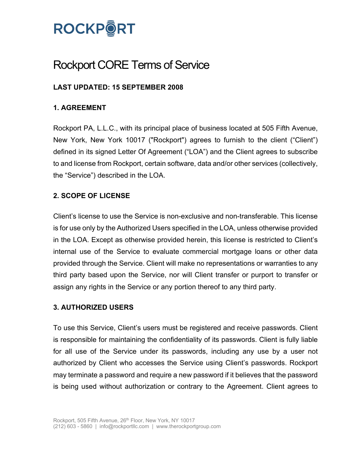

# Rockport CORE Terms of Service

# **LAST UPDATED: 15 SEPTEMBER 2008**

# **1. AGREEMENT**

Rockport PA, L.L.C., with its principal place of business located at 505 Fifth Avenue, New York, New York 10017 ("Rockport") agrees to furnish to the client ("Client") defined in its signed Letter Of Agreement ("LOA") and the Client agrees to subscribe to and license from Rockport, certain software, data and/or other services (collectively, the "Service") described in the LOA.

### **2. SCOPE OF LICENSE**

Client's license to use the Service is non-exclusive and non-transferable. This license is for use only by the Authorized Users specified in the LOA, unless otherwise provided in the LOA. Except as otherwise provided herein, this license is restricted to Client's internal use of the Service to evaluate commercial mortgage loans or other data provided through the Service. Client will make no representations or warranties to any third party based upon the Service, nor will Client transfer or purport to transfer or assign any rights in the Service or any portion thereof to any third party.

#### **3. AUTHORIZED USERS**

To use this Service, Client's users must be registered and receive passwords. Client is responsible for maintaining the confidentiality of its passwords. Client is fully liable for all use of the Service under its passwords, including any use by a user not authorized by Client who accesses the Service using Client's passwords. Rockport may terminate a password and require a new password if it believes that the password is being used without authorization or contrary to the Agreement. Client agrees to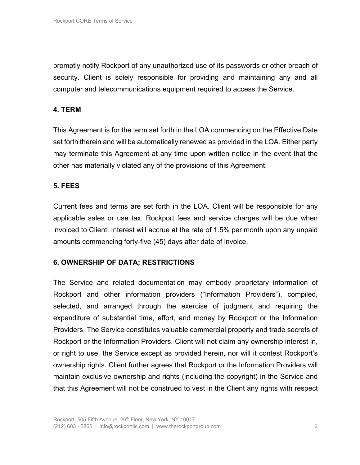promptly notify Rockport of any unauthorized use of its passwords or other breach of security. Client is solely responsible for providing and maintaining any and all computer and telecommunications equipment required to access the Service.

# **4. TERM**

This Agreement is for the term set forth in the LOA commencing on the Effective Date set forth therein and will be automatically renewed as provided in the LOA. Either party may terminate this Agreement at any time upon written notice in the event that the other has materially violated any of the provisions of this Agreement.

#### **5. FEES**

Current fees and terms are set forth in the LOA. Client will be responsible for any applicable sales or use tax. Rockport fees and service charges will be due when invoiced to Client. Interest will accrue at the rate of 1.5% per month upon any unpaid amounts commencing forty-five (45) days after date of invoice.

#### **6. OWNERSHIP OF DATA; RESTRICTIONS**

The Service and related documentation may embody proprietary information of Rockport and other information providers ("Information Providers"), compiled, selected, and arranged through the exercise of judgment and requiring the expenditure of substantial time, effort, and money by Rockport or the Information Providers. The Service constitutes valuable commercial property and trade secrets of Rockport or the Information Providers. Client will not claim any ownership interest in, or right to use, the Service except as provided herein, nor will it contest Rockport's ownership rights. Client further agrees that Rockport or the Information Providers will maintain exclusive ownership and rights (including the copyright) in the Service and that this Agreement will not be construed to vest in the Client any rights with respect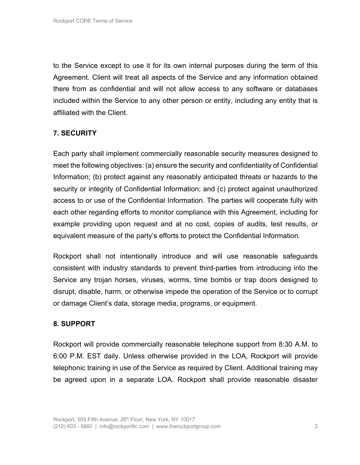to the Service except to use it for its own internal purposes during the term of this Agreement. Client will treat all aspects of the Service and any information obtained there from as confidential and will not allow access to any software or databases included within the Service to any other person or entity, including any entity that is affiliated with the Client.

# **7. SECURITY**

Each party shall implement commercially reasonable security measures designed to meet the following objectives: (a) ensure the security and confidentiality of Confidential Information; (b) protect against any reasonably anticipated threats or hazards to the security or integrity of Confidential Information; and (c) protect against unauthorized access to or use of the Confidential Information. The parties will cooperate fully with each other regarding efforts to monitor compliance with this Agreement, including for example providing upon request and at no cost, copies of audits, test results, or equivalent measure of the party's efforts to protect the Confidential Information.

Rockport shall not intentionally introduce and will use reasonable safeguards consistent with industry standards to prevent third-parties from introducing into the Service any trojan horses, viruses, worms, time bombs or trap doors designed to disrupt, disable, harm, or otherwise impede the operation of the Service or to corrupt or damage Client's data, storage media, programs, or equipment.

#### **8. SUPPORT**

Rockport will provide commercially reasonable telephone support from 8:30 A.M. to 6:00 P.M. EST daily. Unless otherwise provided in the LOA, Rockport will provide telephonic training in use of the Service as required by Client. Additional training may be agreed upon in a separate LOA. Rockport shall provide reasonable disaster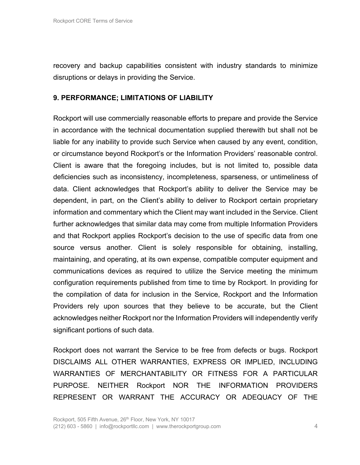recovery and backup capabilities consistent with industry standards to minimize disruptions or delays in providing the Service.

### **9. PERFORMANCE; LIMITATIONS OF LIABILITY**

Rockport will use commercially reasonable efforts to prepare and provide the Service in accordance with the technical documentation supplied therewith but shall not be liable for any inability to provide such Service when caused by any event, condition, or circumstance beyond Rockport's or the Information Providers' reasonable control. Client is aware that the foregoing includes, but is not limited to, possible data deficiencies such as inconsistency, incompleteness, sparseness, or untimeliness of data. Client acknowledges that Rockport's ability to deliver the Service may be dependent, in part, on the Client's ability to deliver to Rockport certain proprietary information and commentary which the Client may want included in the Service. Client further acknowledges that similar data may come from multiple Information Providers and that Rockport applies Rockport's decision to the use of specific data from one source versus another. Client is solely responsible for obtaining, installing, maintaining, and operating, at its own expense, compatible computer equipment and communications devices as required to utilize the Service meeting the minimum configuration requirements published from time to time by Rockport. In providing for the compilation of data for inclusion in the Service, Rockport and the Information Providers rely upon sources that they believe to be accurate, but the Client acknowledges neither Rockport nor the Information Providers will independently verify significant portions of such data.

Rockport does not warrant the Service to be free from defects or bugs. Rockport DISCLAIMS ALL OTHER WARRANTIES, EXPRESS OR IMPLIED, INCLUDING WARRANTIES OF MERCHANTABILITY OR FITNESS FOR A PARTICULAR PURPOSE. NEITHER Rockport NOR THE INFORMATION PROVIDERS REPRESENT OR WARRANT THE ACCURACY OR ADEQUACY OF THE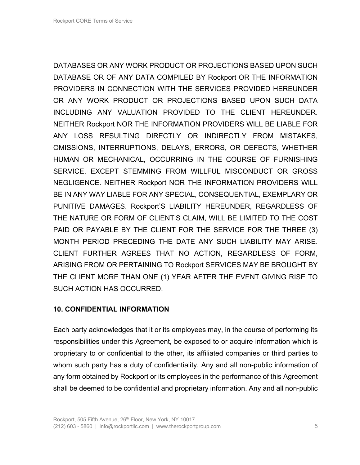DATABASES OR ANY WORK PRODUCT OR PROJECTIONS BASED UPON SUCH DATABASE OR OF ANY DATA COMPILED BY Rockport OR THE INFORMATION PROVIDERS IN CONNECTION WITH THE SERVICES PROVIDED HEREUNDER OR ANY WORK PRODUCT OR PROJECTIONS BASED UPON SUCH DATA INCLUDING ANY VALUATION PROVIDED TO THE CLIENT HEREUNDER. NEITHER Rockport NOR THE INFORMATION PROVIDERS WILL BE LIABLE FOR ANY LOSS RESULTING DIRECTLY OR INDIRECTLY FROM MISTAKES, OMISSIONS, INTERRUPTIONS, DELAYS, ERRORS, OR DEFECTS, WHETHER HUMAN OR MECHANICAL, OCCURRING IN THE COURSE OF FURNISHING SERVICE, EXCEPT STEMMING FROM WILLFUL MISCONDUCT OR GROSS NEGLIGENCE. NEITHER Rockport NOR THE INFORMATION PROVIDERS WILL BE IN ANY WAY LIABLE FOR ANY SPECIAL, CONSEQUENTIAL, EXEMPLARY OR PUNITIVE DAMAGES. Rockport'S LIABILITY HEREUNDER, REGARDLESS OF THE NATURE OR FORM OF CLIENT'S CLAIM, WILL BE LIMITED TO THE COST PAID OR PAYABLE BY THE CLIENT FOR THE SERVICE FOR THE THREE (3) MONTH PERIOD PRECEDING THE DATE ANY SUCH LIABILITY MAY ARISE. CLIENT FURTHER AGREES THAT NO ACTION, REGARDLESS OF FORM, ARISING FROM OR PERTAINING TO Rockport SERVICES MAY BE BROUGHT BY THE CLIENT MORE THAN ONE (1) YEAR AFTER THE EVENT GIVING RISE TO SUCH ACTION HAS OCCURRED.

# **10. CONFIDENTIAL INFORMATION**

Each party acknowledges that it or its employees may, in the course of performing its responsibilities under this Agreement, be exposed to or acquire information which is proprietary to or confidential to the other, its affiliated companies or third parties to whom such party has a duty of confidentiality. Any and all non-public information of any form obtained by Rockport or its employees in the performance of this Agreement shall be deemed to be confidential and proprietary information. Any and all non-public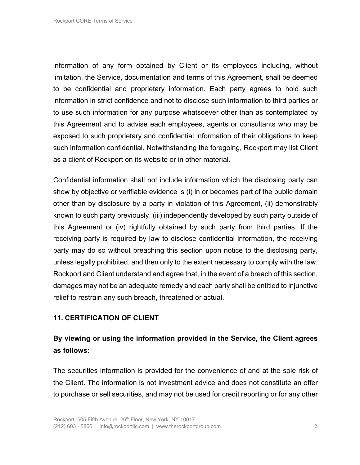information of any form obtained by Client or its employees including, without limitation, the Service, documentation and terms of this Agreement, shall be deemed to be confidential and proprietary information. Each party agrees to hold such information in strict confidence and not to disclose such information to third parties or to use such information for any purpose whatsoever other than as contemplated by this Agreement and to advise each employees, agents or consultants who may be exposed to such proprietary and confidential information of their obligations to keep such information confidential. Notwithstanding the foregoing, Rockport may list Client as a client of Rockport on its website or in other material.

Confidential information shall not include information which the disclosing party can show by objective or verifiable evidence is (i) in or becomes part of the public domain other than by disclosure by a party in violation of this Agreement, (ii) demonstrably known to such party previously, (iii) independently developed by such party outside of this Agreement or (iv) rightfully obtained by such party from third parties. If the receiving party is required by law to disclose confidential information, the receiving party may do so without breaching this section upon notice to the disclosing party, unless legally prohibited, and then only to the extent necessary to comply with the law. Rockport and Client understand and agree that, in the event of a breach of this section, damages may not be an adequate remedy and each party shall be entitled to injunctive relief to restrain any such breach, threatened or actual.

# **11. CERTIFICATION OF CLIENT**

# **By viewing or using the information provided in the Service, the Client agrees as follows:**

The securities information is provided for the convenience of and at the sole risk of the Client. The information is not investment advice and does not constitute an offer to purchase or sell securities, and may not be used for credit reporting or for any other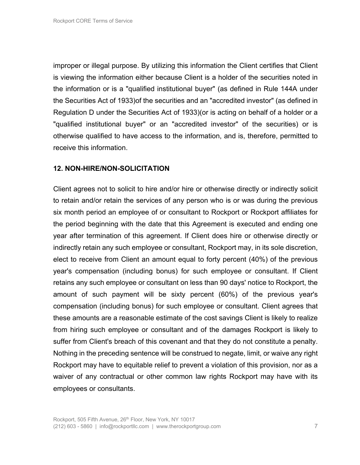improper or illegal purpose. By utilizing this information the Client certifies that Client is viewing the information either because Client is a holder of the securities noted in the information or is a "qualified institutional buyer" (as defined in Rule 144A under the Securities Act of 1933)of the securities and an "accredited investor" (as defined in Regulation D under the Securities Act of 1933)(or is acting on behalf of a holder or a "qualified institutional buyer" or an "accredited investor" of the securities) or is otherwise qualified to have access to the information, and is, therefore, permitted to receive this information.

#### **12. NON-HIRE/NON-SOLICITATION**

Client agrees not to solicit to hire and/or hire or otherwise directly or indirectly solicit to retain and/or retain the services of any person who is or was during the previous six month period an employee of or consultant to Rockport or Rockport affiliates for the period beginning with the date that this Agreement is executed and ending one year after termination of this agreement. If Client does hire or otherwise directly or indirectly retain any such employee or consultant, Rockport may, in its sole discretion, elect to receive from Client an amount equal to forty percent (40%) of the previous year's compensation (including bonus) for such employee or consultant. If Client retains any such employee or consultant on less than 90 days' notice to Rockport, the amount of such payment will be sixty percent (60%) of the previous year's compensation (including bonus) for such employee or consultant. Client agrees that these amounts are a reasonable estimate of the cost savings Client is likely to realize from hiring such employee or consultant and of the damages Rockport is likely to suffer from Client's breach of this covenant and that they do not constitute a penalty. Nothing in the preceding sentence will be construed to negate, limit, or waive any right Rockport may have to equitable relief to prevent a violation of this provision, nor as a waiver of any contractual or other common law rights Rockport may have with its employees or consultants.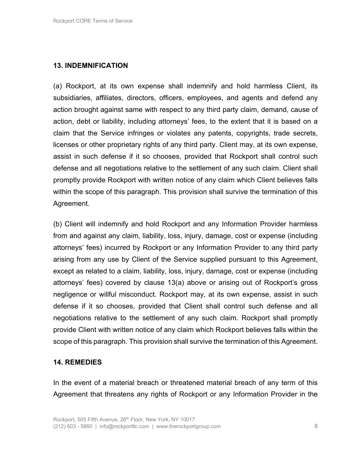# **13. INDEMNIFICATION**

(a) Rockport, at its own expense shall indemnify and hold harmless Client, its subsidiaries, affiliates, directors, officers, employees, and agents and defend any action brought against same with respect to any third party claim, demand, cause of action, debt or liability, including attorneys' fees, to the extent that it is based on a claim that the Service infringes or violates any patents, copyrights, trade secrets, licenses or other proprietary rights of any third party. Client may, at its own expense, assist in such defense if it so chooses, provided that Rockport shall control such defense and all negotiations relative to the settlement of any such claim. Client shall promptly provide Rockport with written notice of any claim which Client believes falls within the scope of this paragraph. This provision shall survive the termination of this Agreement.

(b) Client will indemnify and hold Rockport and any Information Provider harmless from and against any claim, liability, loss, injury, damage, cost or expense (including attorneys' fees) incurred by Rockport or any Information Provider to any third party arising from any use by Client of the Service supplied pursuant to this Agreement, except as related to a claim, liability, loss, injury, damage, cost or expense (including attorneys' fees) covered by clause 13(a) above or arising out of Rockport's gross negligence or willful misconduct. Rockport may, at its own expense, assist in such defense if it so chooses, provided that Client shall control such defense and all negotiations relative to the settlement of any such claim. Rockport shall promptly provide Client with written notice of any claim which Rockport believes falls within the scope of this paragraph. This provision shall survive the termination of this Agreement.

#### **14. REMEDIES**

In the event of a material breach or threatened material breach of any term of this Agreement that threatens any rights of Rockport or any Information Provider in the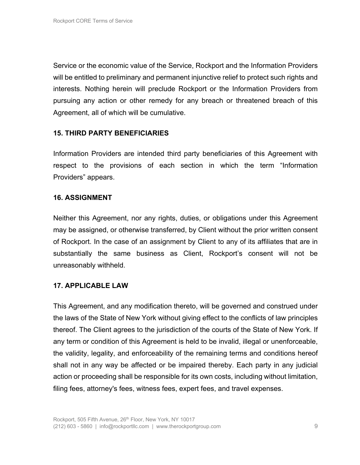Service or the economic value of the Service, Rockport and the Information Providers will be entitled to preliminary and permanent injunctive relief to protect such rights and interests. Nothing herein will preclude Rockport or the Information Providers from pursuing any action or other remedy for any breach or threatened breach of this Agreement, all of which will be cumulative.

# **15. THIRD PARTY BENEFICIARIES**

Information Providers are intended third party beneficiaries of this Agreement with respect to the provisions of each section in which the term "Information Providers" appears.

#### **16. ASSIGNMENT**

Neither this Agreement, nor any rights, duties, or obligations under this Agreement may be assigned, or otherwise transferred, by Client without the prior written consent of Rockport. In the case of an assignment by Client to any of its affiliates that are in substantially the same business as Client, Rockport's consent will not be unreasonably withheld.

#### **17. APPLICABLE LAW**

This Agreement, and any modification thereto, will be governed and construed under the laws of the State of New York without giving effect to the conflicts of law principles thereof. The Client agrees to the jurisdiction of the courts of the State of New York. If any term or condition of this Agreement is held to be invalid, illegal or unenforceable, the validity, legality, and enforceability of the remaining terms and conditions hereof shall not in any way be affected or be impaired thereby. Each party in any judicial action or proceeding shall be responsible for its own costs, including without limitation, filing fees, attorney's fees, witness fees, expert fees, and travel expenses.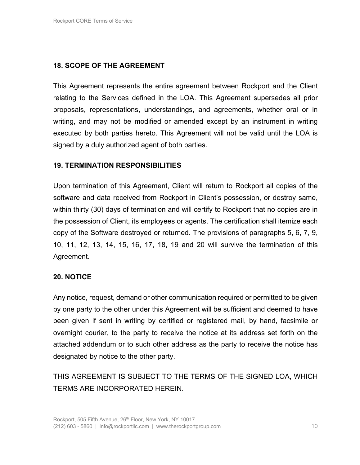# **18. SCOPE OF THE AGREEMENT**

This Agreement represents the entire agreement between Rockport and the Client relating to the Services defined in the LOA. This Agreement supersedes all prior proposals, representations, understandings, and agreements, whether oral or in writing, and may not be modified or amended except by an instrument in writing executed by both parties hereto. This Agreement will not be valid until the LOA is signed by a duly authorized agent of both parties.

### **19. TERMINATION RESPONSIBILITIES**

Upon termination of this Agreement, Client will return to Rockport all copies of the software and data received from Rockport in Client's possession, or destroy same, within thirty (30) days of termination and will certify to Rockport that no copies are in the possession of Client, its employees or agents. The certification shall itemize each copy of the Software destroyed or returned. The provisions of paragraphs 5, 6, 7, 9, 10, 11, 12, 13, 14, 15, 16, 17, 18, 19 and 20 will survive the termination of this Agreement.

# **20. NOTICE**

Any notice, request, demand or other communication required or permitted to be given by one party to the other under this Agreement will be sufficient and deemed to have been given if sent in writing by certified or registered mail, by hand, facsimile or overnight courier, to the party to receive the notice at its address set forth on the attached addendum or to such other address as the party to receive the notice has designated by notice to the other party.

THIS AGREEMENT IS SUBJECT TO THE TERMS OF THE SIGNED LOA, WHICH TERMS ARE INCORPORATED HEREIN.